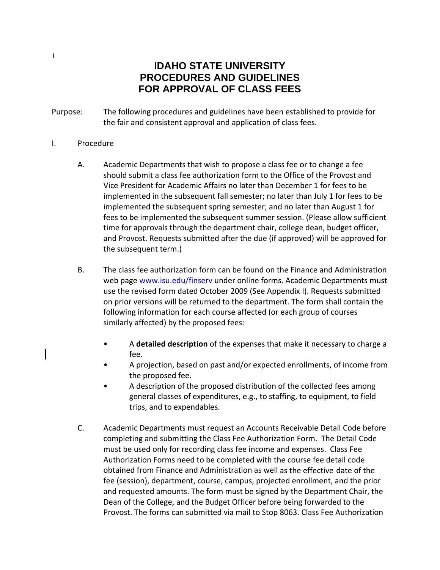## **IDAHO STATE UNIVERSITY PROCEDURES AND GUIDELINES FOR APPROVAL OF CLASS FEES**

- Purpose: The following procedures and guidelines have been established to provide for the fair and consistent approval and application of class fees.
- I. Procedure
	- A. Academic Departments that wish to propose a class fee or to change a fee should submit a class fee authorization form to the Office of the Provost and Vice President for Academic Affairs no later than December 1 for fees to be implemented in the subsequent fall semester; no later than July 1 for fees to be implemented the subsequent spring semester; and no later than August 1 for fees to be implemented the subsequent summer session. (Please allow sufficient time for approvals through the department chair, college dean, budget officer, and Provost. Requests submitted after the due (if approved) will be approved for the subsequent term.)
	- B. The class fee authorization form can be found on the Finance and Administration web page www.isu.edu/finserv under online forms. Academic Departments must use the revised form dated October 2009 (See Appendix I). Requests submitted on prior versions will be returned to the department. The form shall contain the following information for each course affected (or each group of courses similarly affected) by the proposed fees:
		- A **detailed description** of the expenses that make it necessary to charge a fee.
		- A projection, based on past and/or expected enrollments, of income from the proposed fee.
		- A description of the proposed distribution of the collected fees among general classes of expenditures, e.g., to staffing, to equipment, to field trips, and to expendables.
	- C. Academic Departments must request an Accounts Receivable Detail Code before completing and submitting the Class Fee Authorization Form. The Detail Code must be used only for recording class fee income and expenses. Class Fee Authorization Forms need to be completed with the course fee detail code obtained from Finance and Administration as well as the effective date of the fee (session), department, course, campus, projected enrollment, and the prior and requested amounts. The form must be signed by the Department Chair, the Dean of the College, and the Budget Officer before being forwarded to the Provost. The forms can submitted via mail to Stop 8063. Class Fee Authorization

1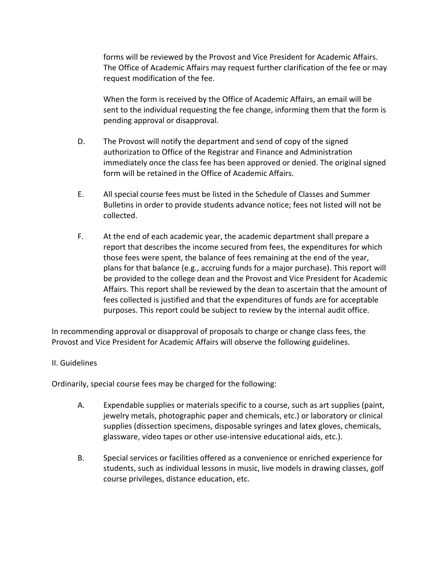forms will be reviewed by the Provost and Vice President for Academic Affairs. The Office of Academic Affairs may request further clarification of the fee or may request modification of the fee.

When the form is received by the Office of Academic Affairs, an email will be sent to the individual requesting the fee change, informing them that the form is pending approval or disapproval.

- D. The Provost will notify the department and send of copy of the signed authorization to Office of the Registrar and Finance and Administration immediately once the class fee has been approved or denied. The original signed form will be retained in the Office of Academic Affairs.
- E. All special course fees must be listed in the Schedule of Classes and Summer Bulletins in order to provide students advance notice; fees not listed will not be collected.
- F. At the end of each academic year, the academic department shall prepare a report that describes the income secured from fees, the expenditures for which those fees were spent, the balance of fees remaining at the end of the year, plans for that balance (e.g., accruing funds for a major purchase). This report will be provided to the college dean and the Provost and Vice President for Academic Affairs. This report shall be reviewed by the dean to ascertain that the amount of fees collected is justified and that the expenditures of funds are for acceptable purposes. This report could be subject to review by the internal audit office.

In recommending approval or disapproval of proposals to charge or change class fees, the Provost and Vice President for Academic Affairs will observe the following guidelines.

## II. Guidelines

Ordinarily, special course fees may be charged for the following:

- A. Expendable supplies or materials specific to a course, such as art supplies (paint, jewelry metals, photographic paper and chemicals, etc.) or laboratory or clinical supplies (dissection specimens, disposable syringes and latex gloves, chemicals, glassware, video tapes or other use‐intensive educational aids, etc.).
- B. Special services or facilities offered as a convenience or enriched experience for students, such as individual lessons in music, live models in drawing classes, golf course privileges, distance education, etc.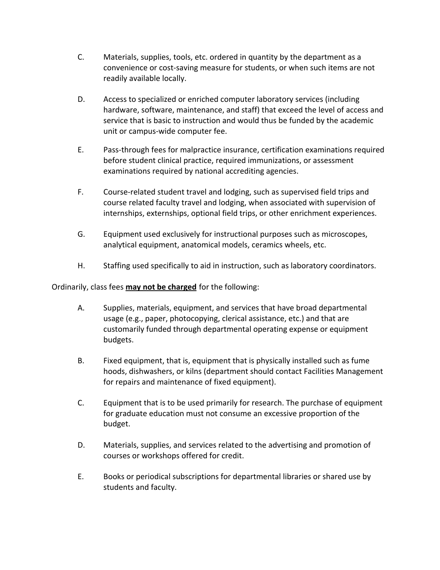- C. Materials, supplies, tools, etc. ordered in quantity by the department as a convenience or cost‐saving measure for students, or when such items are not readily available locally.
- D. Access to specialized or enriched computer laboratory services (including hardware, software, maintenance, and staff) that exceed the level of access and service that is basic to instruction and would thus be funded by the academic unit or campus‐wide computer fee.
- E. Pass‐through fees for malpractice insurance, certification examinations required before student clinical practice, required immunizations, or assessment examinations required by national accrediting agencies.
- F. Course-related student travel and lodging, such as supervised field trips and course related faculty travel and lodging, when associated with supervision of internships, externships, optional field trips, or other enrichment experiences.
- G. Equipment used exclusively for instructional purposes such as microscopes, analytical equipment, anatomical models, ceramics wheels, etc.
- H. Staffing used specifically to aid in instruction, such as laboratory coordinators.

Ordinarily, class fees **may not be charged** for the following:

- A. Supplies, materials, equipment, and services that have broad departmental usage (e.g., paper, photocopying, clerical assistance, etc.) and that are customarily funded through departmental operating expense or equipment budgets.
- B. Fixed equipment, that is, equipment that is physically installed such as fume hoods, dishwashers, or kilns (department should contact Facilities Management for repairs and maintenance of fixed equipment).
- C. Equipment that is to be used primarily for research. The purchase of equipment for graduate education must not consume an excessive proportion of the budget.
- D. Materials, supplies, and services related to the advertising and promotion of courses or workshops offered for credit.
- E. Books or periodical subscriptions for departmental libraries or shared use by students and faculty.